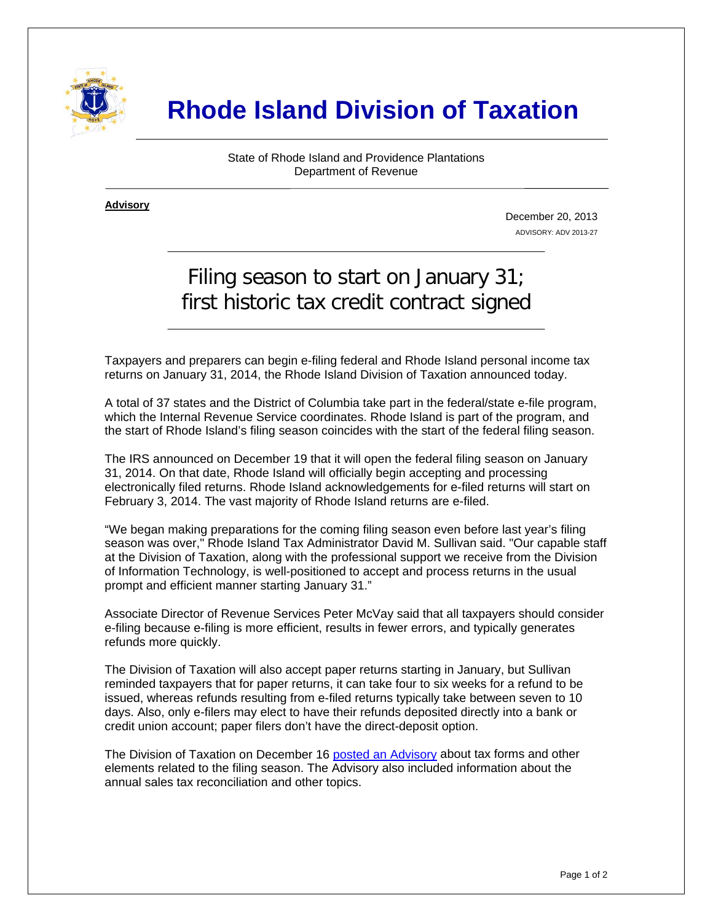

# **Rhode Island Division of Taxation**

State of Rhode Island and Providence Plantations Department of Revenue

**Advisory** ٦

i

December 20, 2013 ADVISORY: ADV 2013-27

# Filing season to start on January 31; first historic tax credit contract signed

Taxpayers and preparers can begin e-filing federal and Rhode Island personal income tax returns on January 31, 2014, the Rhode Island Division of Taxation announced today.

A total of 37 states and the District of Columbia take part in the federal/state e-file program, which the Internal Revenue Service coordinates. Rhode Island is part of the program, and the start of Rhode Island's filing season coincides with the start of the federal filing season.

The IRS announced on December 19 that it will open the federal filing season on January 31, 2014. On that date, Rhode Island will officially begin accepting and processing electronically filed returns. Rhode Island acknowledgements for e-filed returns will start on February 3, 2014. The vast majority of Rhode Island returns are e-filed.

"We began making preparations for the coming filing season even before last year's filing season was over," Rhode Island Tax Administrator David M. Sullivan said. "Our capable staff at the Division of Taxation, along with the professional support we receive from the Division of Information Technology, is well-positioned to accept and process returns in the usual prompt and efficient manner starting January 31."

Associate Director of Revenue Services Peter McVay said that all taxpayers should consider e-filing because e-filing is more efficient, results in fewer errors, and typically generates refunds more quickly.

The Division of Taxation will also accept paper returns starting in January, but Sullivan reminded taxpayers that for paper returns, it can take four to six weeks for a refund to be issued, whereas refunds resulting from e-filed returns typically take between seven to 10 days. Also, only e-filers may elect to have their refunds deposited directly into a bank or credit union account; paper filers don't have the direct-deposit option.

The Division of Taxation on December 16 [posted an Advisory](http://www.tax.ri.gov/Tax%20Website/TAX/Advisory/ADV%202013-26.pdf) about tax forms and other elements related to the filing season. The Advisory also included information about the annual sales tax reconciliation and other topics.